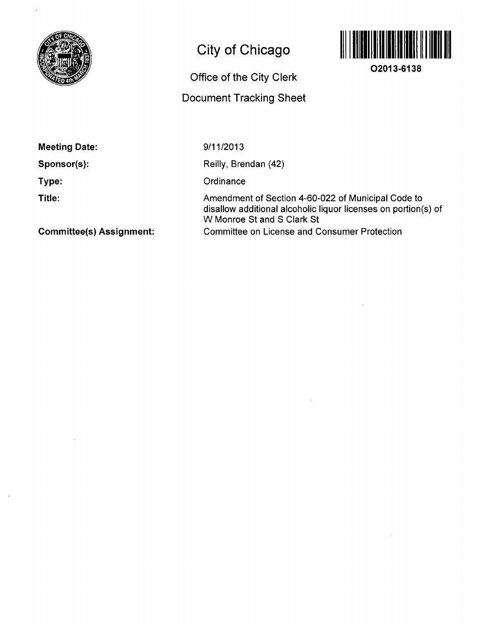

## **City of Chicago**



**02013-6138** 

**Office of the City Clerk** 

**Document Tracking Sheet** 

**Meeting Date:** 

**Sponsor(s):** 

**Type:** 

**Title:** 

9/11/2013

Reilly, Brendan (42)

**Ordinance** 

Amendment of Section 4-60-022 of Municipal Code to disallow additional alcoholic liquor licenses on portion(s) of W Monroe St and S Clark St Committee on License and Consumer Protection

**Committee(s) Assignment:**